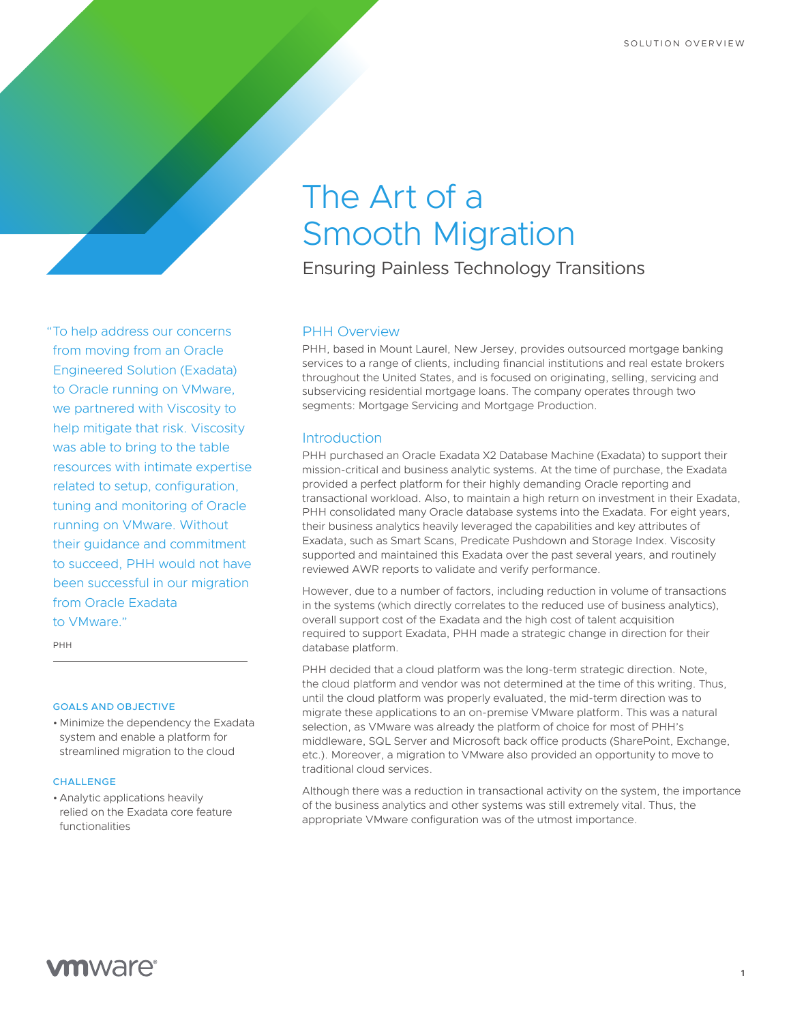# The Art of a Smooth Migration

Ensuring Painless Technology Transitions

# PHH Overview PHH, based in Mount Laurel, New Jersey, provides outsourced mortgage banking services to a range of clients, including financial institutions and real estate brokers throughout the United States, and is focused on originating, selling, servicing and subservicing residential mortgage loans. The company operates through two segments: Mortgage Servicing and Mortgage Production.

# **Introduction**

PHH purchased an Oracle Exadata X2 Database Machine (Exadata) to support their mission-critical and business analytic systems. At the time of purchase, the Exadata provided a perfect platform for their highly demanding Oracle reporting and transactional workload. Also, to maintain a high return on investment in their Exadata, PHH consolidated many Oracle database systems into the Exadata. For eight years, their business analytics heavily leveraged the capabilities and key attributes of Exadata, such as Smart Scans, Predicate Pushdown and Storage Index. Viscosity supported and maintained this Exadata over the past several years, and routinely reviewed AWR reports to validate and verify performance.

However, due to a number of factors, including reduction in volume of transactions in the systems (which directly correlates to the reduced use of business analytics), overall support cost of the Exadata and the high cost of talent acquisition required to support Exadata, PHH made a strategic change in direction for their database platform.

PHH decided that a cloud platform was the long-term strategic direction. Note, the cloud platform and vendor was not determined at the time of this writing. Thus, until the cloud platform was properly evaluated, the mid-term direction was to migrate these applications to an on-premise VMware platform. This was a natural selection, as VMware was already the platform of choice for most of PHH's middleware, SQL Server and Microsoft back office products (SharePoint, Exchange, etc.). Moreover, a migration to VMware also provided an opportunity to move to traditional cloud services.

Although there was a reduction in transactional activity on the system, the importance of the business analytics and other systems was still extremely vital. Thus, the appropriate VMware configuration was of the utmost importance.

"To help address our concerns from moving from an Oracle Engineered Solution (Exadata) to Oracle running on VMware, we partnered with Viscosity to help mitigate that risk. Viscosity was able to bring to the table resources with intimate expertise related to setup, configuration, tuning and monitoring of Oracle running on VMware. Without their guidance and commitment to succeed, PHH would not have been successful in our migration from Oracle Exadata to VMware."

PHH

#### GOALS AND OBJECTIVE

• Minimize the dependency the Exadata system and enable a platform for streamlined migration to the cloud

#### **CHALLENGE**

• Analytic applications heavily relied on the Exadata core feature functionalities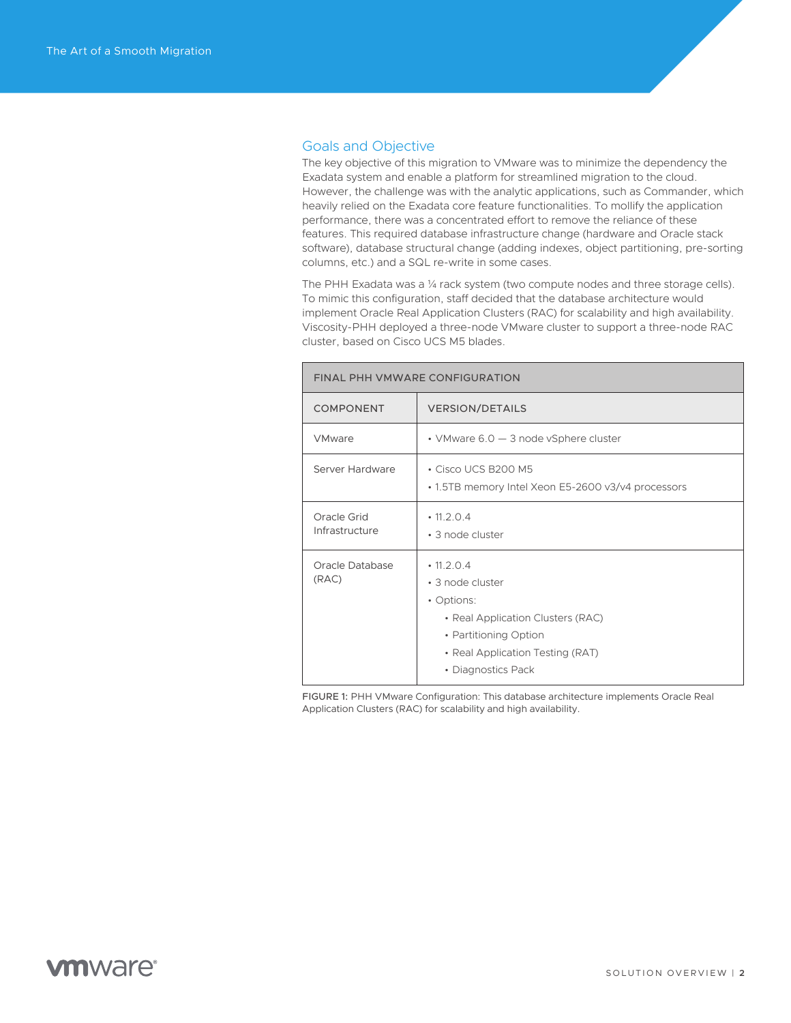# Goals and Objective

The key objective of this migration to VMware was to minimize the dependency the Exadata system and enable a platform for streamlined migration to the cloud. However, the challenge was with the analytic applications, such as Commander, which heavily relied on the Exadata core feature functionalities. To mollify the application performance, there was a concentrated effort to remove the reliance of these features. This required database infrastructure change (hardware and Oracle stack software), database structural change (adding indexes, object partitioning, pre-sorting columns, etc.) and a SQL re-write in some cases.

The PHH Exadata was a 1/4 rack system (two compute nodes and three storage cells). To mimic this configuration, staff decided that the database architecture would implement Oracle Real Application Clusters (RAC) for scalability and high availability. Viscosity-PHH deployed a three-node VMware cluster to support a three-node RAC cluster, based on Cisco UCS M5 blades.

| FINAL PHH VMWARE CONFIGURATION |                                                                                                                                                                            |
|--------------------------------|----------------------------------------------------------------------------------------------------------------------------------------------------------------------------|
| <b>COMPONENT</b>               | <b>VERSION/DETAILS</b>                                                                                                                                                     |
| VMware                         | • VMware $6.0 - 3$ node vSphere cluster                                                                                                                                    |
| Server Hardware                | • Cisco UCS B200 M5<br>• 1.5TB memory Intel Xeon E5-2600 v3/v4 processors                                                                                                  |
| Oracle Grid<br>Infrastructure  | $\cdot$ 11.2.0.4<br>• 3 node cluster                                                                                                                                       |
| Oracle Database<br>(RAC)       | $\cdot$ 11.2.0.4<br>• 3 node cluster<br>• Options:<br>• Real Application Clusters (RAC)<br>• Partitioning Option<br>• Real Application Testing (RAT)<br>• Diagnostics Pack |

FIGURE 1: PHH VMware Configuration: This database architecture implements Oracle Real Application Clusters (RAC) for scalability and high availability.

# **vm**ware<sup>®</sup>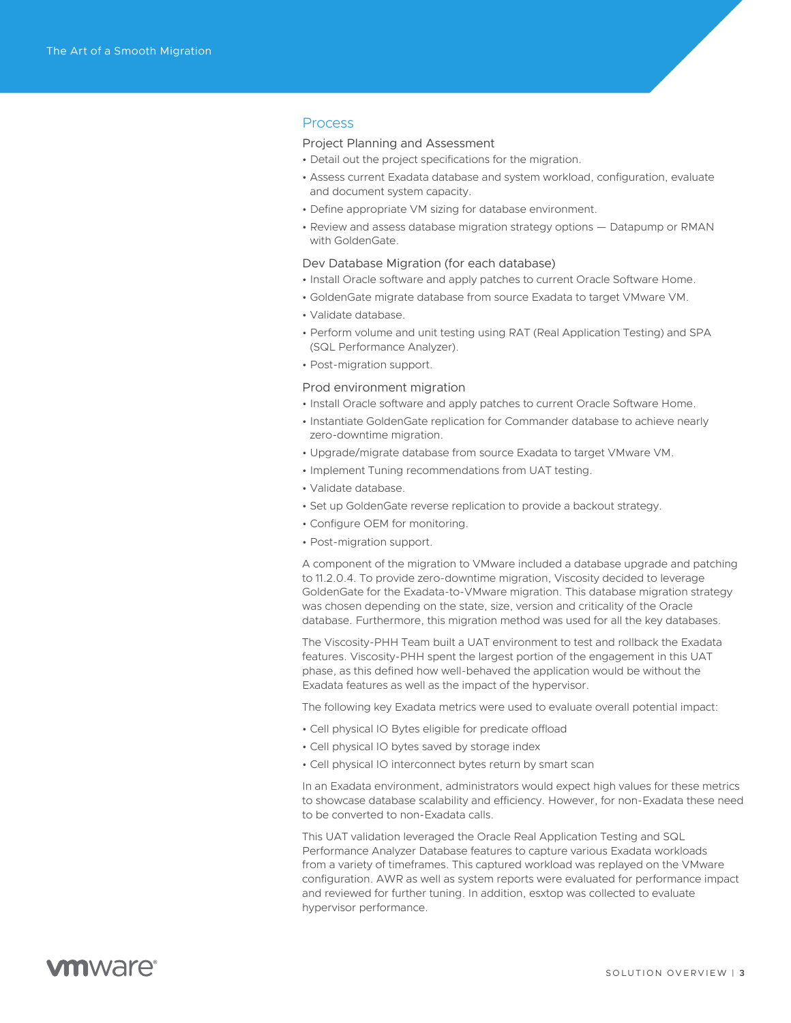### Process

#### Project Planning and Assessment

- Detail out the project specifications for the migration.
- Assess current Exadata database and system workload, configuration, evaluate and document system capacity.
- Define appropriate VM sizing for database environment.
- Review and assess database migration strategy options Datapump or RMAN with GoldenGate.

#### Dev Database Migration (for each database)

- Install Oracle software and apply patches to current Oracle Software Home.
- GoldenGate migrate database from source Exadata to target VMware VM.
- Validate database.
- Perform volume and unit testing using RAT (Real Application Testing) and SPA (SQL Performance Analyzer).
- Post-migration support.

#### Prod environment migration

- Install Oracle software and apply patches to current Oracle Software Home.
- Instantiate GoldenGate replication for Commander database to achieve nearly zero-downtime migration.
- Upgrade/migrate database from source Exadata to target VMware VM.
- Implement Tuning recommendations from UAT testing.
- Validate database.
- Set up GoldenGate reverse replication to provide a backout strategy.
- Configure OEM for monitoring.
- Post-migration support.

A component of the migration to VMware included a database upgrade and patching to 11.2.0.4. To provide zero-downtime migration, Viscosity decided to leverage GoldenGate for the Exadata-to-VMware migration. This database migration strategy was chosen depending on the state, size, version and criticality of the Oracle database. Furthermore, this migration method was used for all the key databases.

The Viscosity-PHH Team built a UAT environment to test and rollback the Exadata features. Viscosity-PHH spent the largest portion of the engagement in this UAT phase, as this defined how well-behaved the application would be without the Exadata features as well as the impact of the hypervisor.

The following key Exadata metrics were used to evaluate overall potential impact:

- Cell physical IO Bytes eligible for predicate offload
- Cell physical IO bytes saved by storage index
- Cell physical IO interconnect bytes return by smart scan

In an Exadata environment, administrators would expect high values for these metrics to showcase database scalability and efficiency. However, for non-Exadata these need to be converted to non-Exadata calls.

This UAT validation leveraged the Oracle Real Application Testing and SQL Performance Analyzer Database features to capture various Exadata workloads from a variety of timeframes. This captured workload was replayed on the VMware configuration. AWR as well as system reports were evaluated for performance impact and reviewed for further tuning. In addition, esxtop was collected to evaluate hypervisor performance.

# **vm**ware<sup>®</sup>